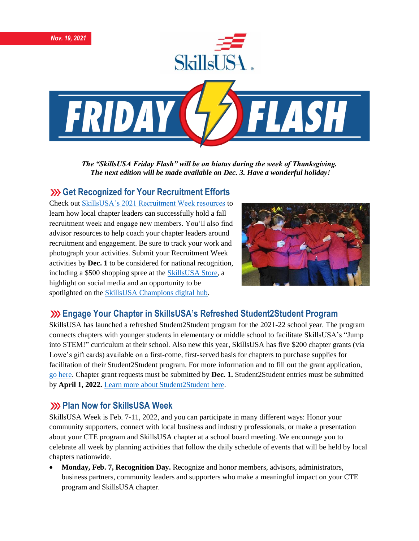

*The "SkillsUSA Friday Flash" will be on hiatus during the week of Thanksgiving. The next edition will be made available on Dec. 3. Have a wonderful holiday!*

#### **EXECUTE: YOUR RECOGNIZED FOR A SET ASSESS**

Check ou[t SkillsUSA's 2021 Recruitment Week resources](https://www.skillsusa.org/programs/2021-recruitment/) to learn how local chapter leaders can successfully hold a fall recruitment week and engage new members. You'll also find advisor resources to help coach your chapter leaders around recruitment and engagement. Be sure to track your work and photograph your activities. Submit your Recruitment Week activities by **Dec. 1** to be considered for national recognition, including a \$500 shopping spree at the [SkillsUSA Store,](https://www.skillsusa.org/shop/) a highlight on social media and an opportunity to be spotlighted on the **SkillsUSA** Champions digital hub.



### **Engage Your Chapter in SkillsUSA's Refreshed Student2Student Program**

SkillsUSA has launched a refreshed Student2Student program for the 2021-22 school year. The program connects chapters with younger students in elementary or middle school to facilitate SkillsUSA's "Jump into STEM!" curriculum at their school. Also new this year, SkillsUSA has five \$200 chapter grants (via Lowe's gift cards) available on a first-come, first-served basis for chapters to purchase supplies for facilitation of their Student2Student program. For more information and to fill out the grant application, [go here.](https://skillsusa.wufoo.com/forms/q1q0j4bd0laniof/) Chapter grant requests must be submitted by **Dec. 1.** Student2Student entries must be submitted by **April 1, 2022.** [Learn more about Student2Student](https://www.skillsusa.org/programs/student2student/) here.

## **222 Plan Now for SkillsUSA Week**

SkillsUSA Week is Feb. 7-11, 2022, and you can participate in many different ways: Honor your community supporters, connect with local business and industry professionals, or make a presentation about your CTE program and SkillsUSA chapter at a school board meeting. We encourage you to celebrate all week by planning activities that follow the daily schedule of events that will be held by local chapters nationwide.

• **Monday, Feb. 7, Recognition Day.** Recognize and honor members, advisors, administrators, business partners, community leaders and supporters who make a meaningful impact on your CTE program and SkillsUSA chapter.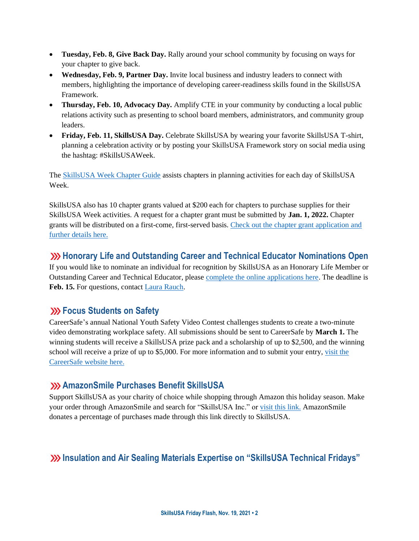- **Tuesday, Feb. 8, Give Back Day.** Rally around your school community by focusing on ways for your chapter to give back.
- **Wednesday, Feb. 9, Partner Day.** Invite local business and industry leaders to connect with members, highlighting the importance of developing career-readiness skills found in the SkillsUSA Framework.
- **Thursday, Feb. 10, Advocacy Day.** Amplify CTE in your community by conducting a local public relations activity such as presenting to school board members, administrators, and community group leaders.
- Friday, Feb. 11, SkillsUSA Day. Celebrate SkillsUSA by wearing your favorite SkillsUSA T-shirt, planning a celebration activity or by posting your SkillsUSA Framework story on social media using the hashtag: #SkillsUSAWeek.

The [SkillsUSA Week Chapter Guide](https://www.skillsusa.org/events-training/skillsusa-week/) assists chapters in planning activities for each day of SkillsUSA Week.

SkillsUSA also has 10 chapter grants valued at \$200 each for chapters to purchase supplies for their SkillsUSA Week activities. A request for a chapter grant must be submitted by **Jan. 1, 2022.** Chapter grants will be distributed on a first-come, first-served basis. [Check out the chapter grant application and](https://www.skillsusa.org/events-training/skillsusa-week)  [further details here.](https://www.skillsusa.org/events-training/skillsusa-week)

## **Honorary Life and Outstanding Career and Technical Educator Nominations Open**

If you would like to nominate an individual for recognition by SkillsUSA as an Honorary Life Member or Outstanding Career and Technical Educator, please complete [the online applications here.](https://www.skillsusa.org/membership-resources/awards/) The deadline is **Feb. 15.** For questions, contact [Laura Rauch.](mailto:lrauch@skillsusa.org)

## **EXECUS** Students on Safety

CareerSafe's annual National Youth Safety Video Contest challenges students to create a two-minute video demonstrating workplace safety. All submissions should be sent to CareerSafe by **March 1.** The winning students will receive a SkillsUSA prize pack and a scholarship of up to \$2,500, and the winning school will receive a prize of up to \$5,000. For more information and to submit your entry[, visit the](https://www.careersafeonline.com/scholarships/video-contest)  [CareerSafe website here.](https://www.careersafeonline.com/scholarships/video-contest)

### **AmazonSmile Purchases Benefit SkillsUSA**

Support SkillsUSA as your charity of choice while shopping through Amazon this holiday season. Make your order through AmazonSmile and search for "SkillsUSA Inc." o[r visit this link.](https://smile.amazon.com/?_encoding=UTF8&_encoding=UTF8&ref_=smi_chpf_redirect) AmazonSmile donates a percentage of purchases made through this link directly to SkillsUSA.

## **Insulation and Air Sealing Materials Expertise on "SkillsUSA Technical Fridays"**